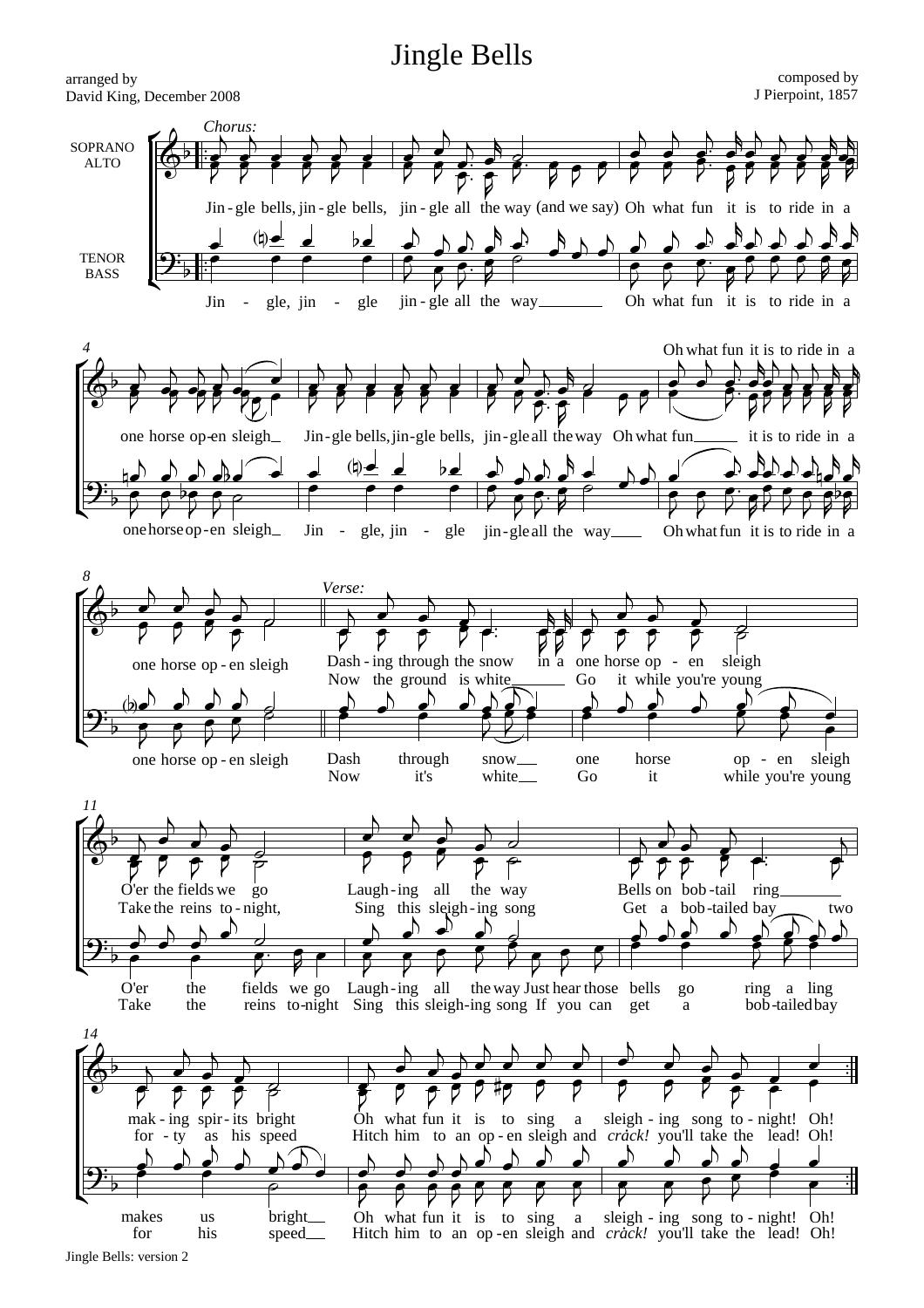## Jingle Bells

composed by J Pierpoint, 1857



Jingle Bells: version 2

arranged by